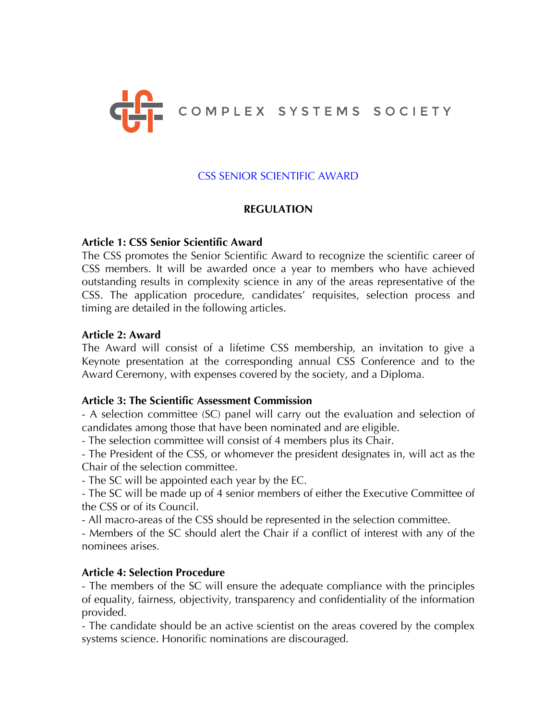

# CSS SENIOR SCIENTIFIC AWARD

# **REGULATION**

#### **Article 1: CSS Senior Scientific Award**

The CSS promotes the Senior Scientific Award to recognize the scientific career of CSS members. It will be awarded once a year to members who have achieved outstanding results in complexity science in any of the areas representative of the CSS. The application procedure, candidates' requisites, selection process and timing are detailed in the following articles.

#### **Article 2: Award**

The Award will consist of a lifetime CSS membership, an invitation to give a Keynote presentation at the corresponding annual CSS Conference and to the Award Ceremony, with expenses covered by the society, and a Diploma.

#### **Article 3: The Scientific Assessment Commission**

- A selection committee (SC) panel will carry out the evaluation and selection of candidates among those that have been nominated and are eligible.

- The selection committee will consist of 4 members plus its Chair.

- The President of the CSS, or whomever the president designates in, will act as the Chair of the selection committee.

- The SC will be appointed each year by the EC.

- The SC will be made up of 4 senior members of either the Executive Committee of the CSS or of its Council.

- All macro-areas of the CSS should be represented in the selection committee.

- Members of the SC should alert the Chair if a conflict of interest with any of the nominees arises.

# **Article 4: Selection Procedure**

- The members of the SC will ensure the adequate compliance with the principles of equality, fairness, objectivity, transparency and confidentiality of the information provided.

- The candidate should be an active scientist on the areas covered by the complex systems science. Honorific nominations are discouraged.